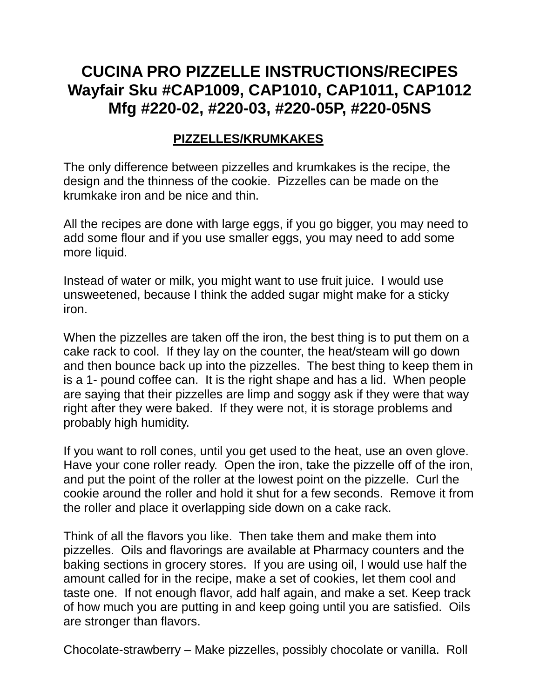# **CUCINA PRO PIZZELLE INSTRUCTIONS/RECIPES Wayfair Sku #CAP1009, CAP1010, CAP1011, CAP1012 Mfg #220-02, #220-03, #220-05P, #220-05NS**

#### **PIZZELLES/KRUMKAKES**

The only difference between pizzelles and krumkakes is the recipe, the design and the thinness of the cookie. Pizzelles can be made on the krumkake iron and be nice and thin.

All the recipes are done with large eggs, if you go bigger, you may need to add some flour and if you use smaller eggs, you may need to add some more liquid.

Instead of water or milk, you might want to use fruit juice. I would use unsweetened, because I think the added sugar might make for a sticky iron.

When the pizzelles are taken off the iron, the best thing is to put them on a cake rack to cool. If they lay on the counter, the heat/steam will go down and then bounce back up into the pizzelles. The best thing to keep them in is a 1- pound coffee can. It is the right shape and has a lid. When people are saying that their pizzelles are limp and soggy ask if they were that way right after they were baked. If they were not, it is storage problems and probably high humidity.

If you want to roll cones, until you get used to the heat, use an oven glove. Have your cone roller ready. Open the iron, take the pizzelle off of the iron, and put the point of the roller at the lowest point on the pizzelle. Curl the cookie around the roller and hold it shut for a few seconds. Remove it from the roller and place it overlapping side down on a cake rack.

Think of all the flavors you like. Then take them and make them into pizzelles. Oils and flavorings are available at Pharmacy counters and the baking sections in grocery stores. If you are using oil, I would use half the amount called for in the recipe, make a set of cookies, let them cool and taste one. If not enough flavor, add half again, and make a set. Keep track of how much you are putting in and keep going until you are satisfied. Oils are stronger than flavors.

Chocolate-strawberry – Make pizzelles, possibly chocolate or vanilla. Roll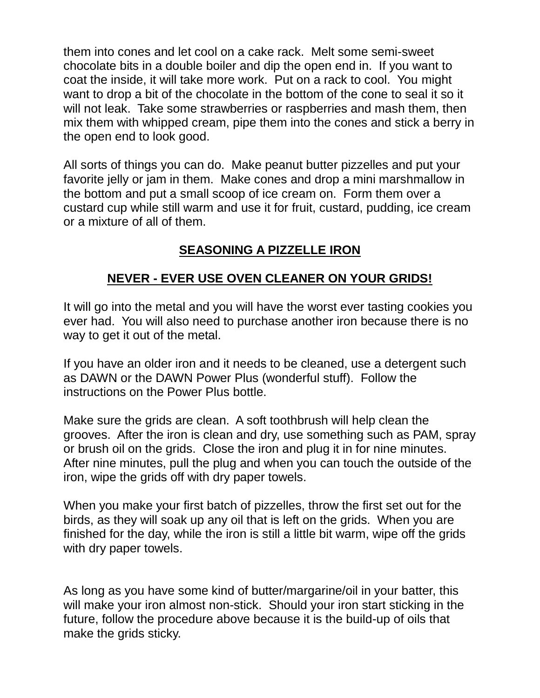them into cones and let cool on a cake rack. Melt some semi-sweet chocolate bits in a double boiler and dip the open end in. If you want to coat the inside, it will take more work. Put on a rack to cool. You might want to drop a bit of the chocolate in the bottom of the cone to seal it so it will not leak. Take some strawberries or raspberries and mash them, then mix them with whipped cream, pipe them into the cones and stick a berry in the open end to look good.

All sorts of things you can do. Make peanut butter pizzelles and put your favorite jelly or jam in them. Make cones and drop a mini marshmallow in the bottom and put a small scoop of ice cream on. Form them over a custard cup while still warm and use it for fruit, custard, pudding, ice cream or a mixture of all of them.

# **SEASONING A PIZZELLE IRON**

# **NEVER - EVER USE OVEN CLEANER ON YOUR GRIDS!**

It will go into the metal and you will have the worst ever tasting cookies you ever had. You will also need to purchase another iron because there is no way to get it out of the metal.

If you have an older iron and it needs to be cleaned, use a detergent such as DAWN or the DAWN Power Plus (wonderful stuff). Follow the instructions on the Power Plus bottle.

Make sure the grids are clean. A soft toothbrush will help clean the grooves. After the iron is clean and dry, use something such as PAM, spray or brush oil on the grids. Close the iron and plug it in for nine minutes. After nine minutes, pull the plug and when you can touch the outside of the iron, wipe the grids off with dry paper towels.

When you make your first batch of pizzelles, throw the first set out for the birds, as they will soak up any oil that is left on the grids. When you are finished for the day, while the iron is still a little bit warm, wipe off the grids with dry paper towels.

As long as you have some kind of butter/margarine/oil in your batter, this will make your iron almost non-stick. Should your iron start sticking in the future, follow the procedure above because it is the build-up of oils that make the grids sticky.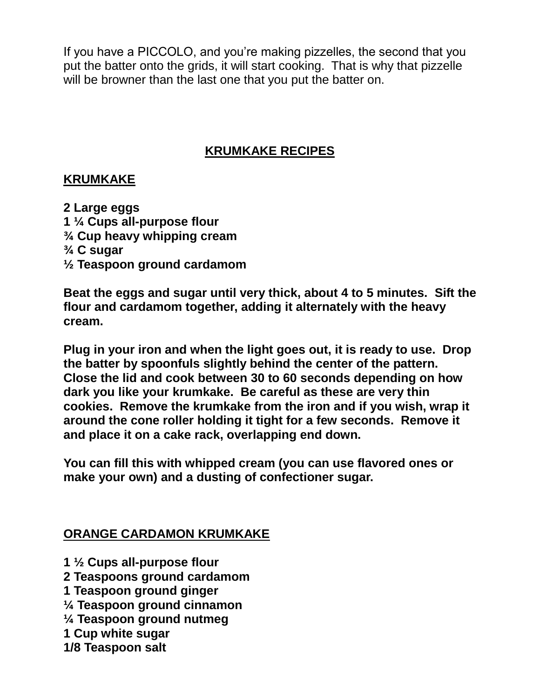If you have a PICCOLO, and you're making pizzelles, the second that you put the batter onto the grids, it will start cooking. That is why that pizzelle will be browner than the last one that you put the batter on.

## **KRUMKAKE RECIPES**

#### **KRUMKAKE**

**2 Large eggs 1 ¼ Cups all-purpose flour ¾ Cup heavy whipping cream ¾ C sugar ½ Teaspoon ground cardamom**

**Beat the eggs and sugar until very thick, about 4 to 5 minutes. Sift the flour and cardamom together, adding it alternately with the heavy cream.**

**Plug in your iron and when the light goes out, it is ready to use. Drop the batter by spoonfuls slightly behind the center of the pattern. Close the lid and cook between 30 to 60 seconds depending on how dark you like your krumkake. Be careful as these are very thin cookies. Remove the krumkake from the iron and if you wish, wrap it around the cone roller holding it tight for a few seconds. Remove it and place it on a cake rack, overlapping end down.**

**You can fill this with whipped cream (you can use flavored ones or make your own) and a dusting of confectioner sugar.**

## **ORANGE CARDAMON KRUMKAKE**

- **1 ½ Cups all-purpose flour**
- **2 Teaspoons ground cardamom**
- **1 Teaspoon ground ginger**
- **¼ Teaspoon ground cinnamon**
- **¼ Teaspoon ground nutmeg**
- **1 Cup white sugar**
- **1/8 Teaspoon salt**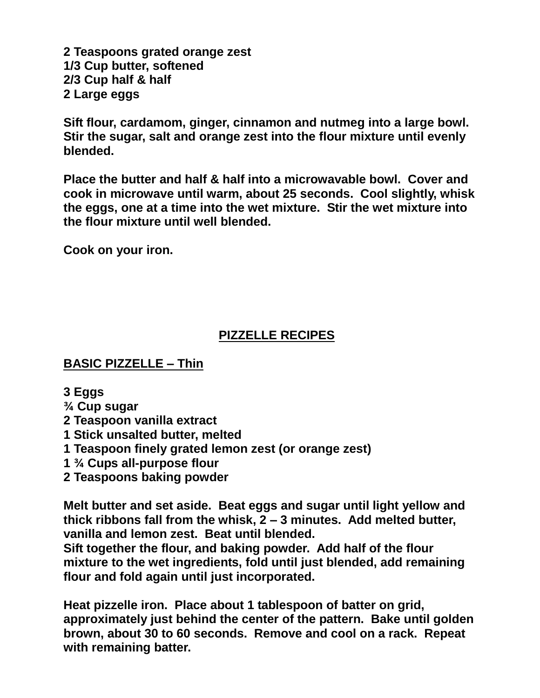**2 Teaspoons grated orange zest 1/3 Cup butter, softened 2/3 Cup half & half 2 Large eggs**

**Sift flour, cardamom, ginger, cinnamon and nutmeg into a large bowl. Stir the sugar, salt and orange zest into the flour mixture until evenly blended.**

**Place the butter and half & half into a microwavable bowl. Cover and cook in microwave until warm, about 25 seconds. Cool slightly, whisk the eggs, one at a time into the wet mixture. Stir the wet mixture into the flour mixture until well blended.**

**Cook on your iron.**

# **PIZZELLE RECIPES**

#### **BASIC PIZZELLE – Thin**

- **3 Eggs**
- **¾ Cup sugar**
- **2 Teaspoon vanilla extract**
- **1 Stick unsalted butter, melted**
- **1 Teaspoon finely grated lemon zest (or orange zest)**
- **1 ¾ Cups all-purpose flour**
- **2 Teaspoons baking powder**

**Melt butter and set aside. Beat eggs and sugar until light yellow and thick ribbons fall from the whisk, 2 – 3 minutes. Add melted butter, vanilla and lemon zest. Beat until blended.**

**Sift together the flour, and baking powder. Add half of the flour mixture to the wet ingredients, fold until just blended, add remaining flour and fold again until just incorporated.**

**Heat pizzelle iron. Place about 1 tablespoon of batter on grid, approximately just behind the center of the pattern. Bake until golden brown, about 30 to 60 seconds. Remove and cool on a rack. Repeat with remaining batter.**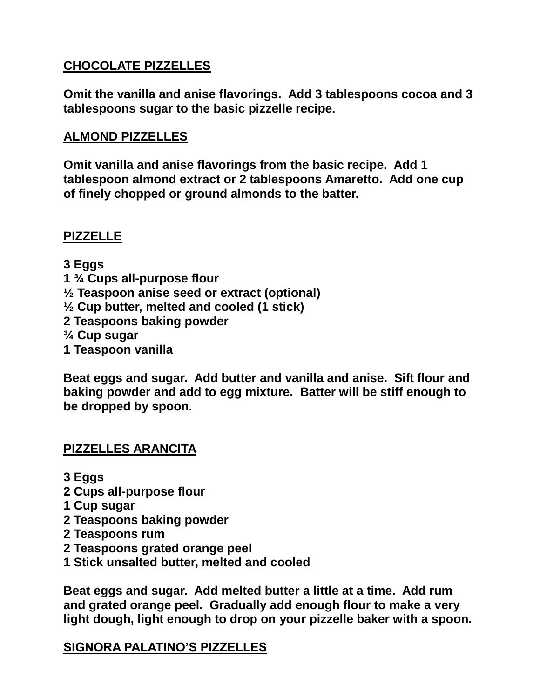## **CHOCOLATE PIZZELLES**

**Omit the vanilla and anise flavorings. Add 3 tablespoons cocoa and 3 tablespoons sugar to the basic pizzelle recipe.** 

#### **ALMOND PIZZELLES**

**Omit vanilla and anise flavorings from the basic recipe. Add 1 tablespoon almond extract or 2 tablespoons Amaretto. Add one cup of finely chopped or ground almonds to the batter.**

## **PIZZELLE**

**3 Eggs 1 ¾ Cups all-purpose flour ½ Teaspoon anise seed or extract (optional) ½ Cup butter, melted and cooled (1 stick) 2 Teaspoons baking powder ¾ Cup sugar 1 Teaspoon vanilla**

**Beat eggs and sugar. Add butter and vanilla and anise. Sift flour and baking powder and add to egg mixture. Batter will be stiff enough to be dropped by spoon.** 

## **PIZZELLES ARANCITA**

- **3 Eggs**
- **2 Cups all-purpose flour**
- **1 Cup sugar**
- **2 Teaspoons baking powder**
- **2 Teaspoons rum**
- **2 Teaspoons grated orange peel**
- **1 Stick unsalted butter, melted and cooled**

**Beat eggs and sugar. Add melted butter a little at a time. Add rum and grated orange peel. Gradually add enough flour to make a very light dough, light enough to drop on your pizzelle baker with a spoon.**

## **SIGNORA PALATINO'S PIZZELLES**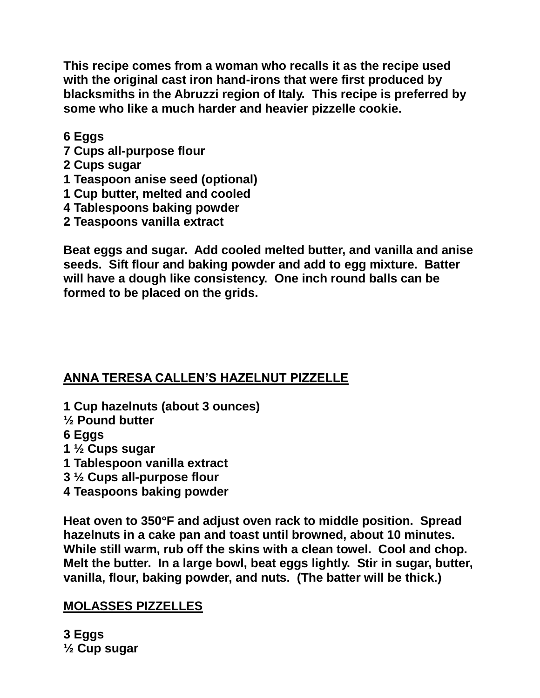**This recipe comes from a woman who recalls it as the recipe used with the original cast iron hand-irons that were first produced by blacksmiths in the Abruzzi region of Italy. This recipe is preferred by some who like a much harder and heavier pizzelle cookie.**

**6 Eggs**

- **7 Cups all-purpose flour**
- **2 Cups sugar**
- **1 Teaspoon anise seed (optional)**
- **1 Cup butter, melted and cooled**
- **4 Tablespoons baking powder**
- **2 Teaspoons vanilla extract**

**Beat eggs and sugar. Add cooled melted butter, and vanilla and anise seeds. Sift flour and baking powder and add to egg mixture. Batter will have a dough like consistency. One inch round balls can be formed to be placed on the grids.** 

# **ANNA TERESA CALLEN'S HAZELNUT PIZZELLE**

- **1 Cup hazelnuts (about 3 ounces)**
- **½ Pound butter**

**6 Eggs**

- **1 ½ Cups sugar**
- **1 Tablespoon vanilla extract**
- **3 ½ Cups all-purpose flour**
- **4 Teaspoons baking powder**

**Heat oven to 350F and adjust oven rack to middle position. Spread hazelnuts in a cake pan and toast until browned, about 10 minutes. While still warm, rub off the skins with a clean towel. Cool and chop. Melt the butter. In a large bowl, beat eggs lightly. Stir in sugar, butter, vanilla, flour, baking powder, and nuts. (The batter will be thick.)**

# **MOLASSES PIZZELLES**

**3 Eggs ½ Cup sugar**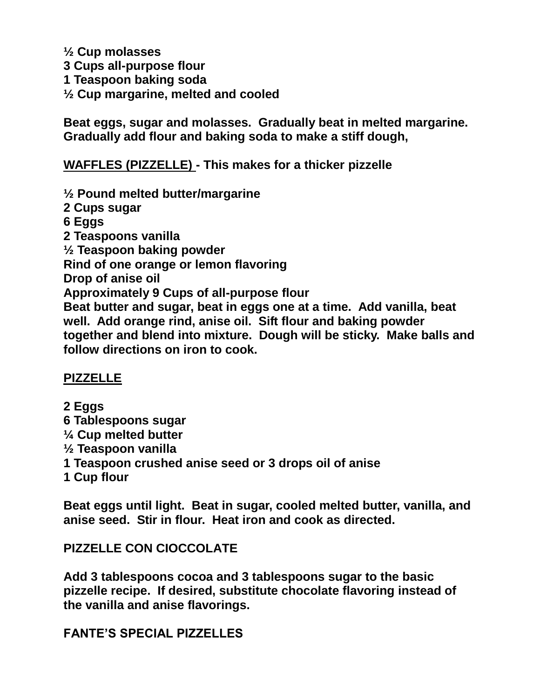**½ Cup molasses 3 Cups all-purpose flour 1 Teaspoon baking soda ½ Cup margarine, melted and cooled**

**Beat eggs, sugar and molasses. Gradually beat in melted margarine. Gradually add flour and baking soda to make a stiff dough,**

**WAFFLES (PIZZELLE) - This makes for a thicker pizzelle**

**½ Pound melted butter/margarine 2 Cups sugar 6 Eggs 2 Teaspoons vanilla ½ Teaspoon baking powder Rind of one orange or lemon flavoring Drop of anise oil Approximately 9 Cups of all-purpose flour Beat butter and sugar, beat in eggs one at a time. Add vanilla, beat well. Add orange rind, anise oil. Sift flour and baking powder together and blend into mixture. Dough will be sticky. Make balls and follow directions on iron to cook.**

#### **PIZZELLE**

**2 Eggs 6 Tablespoons sugar ¼ Cup melted butter ½ Teaspoon vanilla 1 Teaspoon crushed anise seed or 3 drops oil of anise 1 Cup flour**

**Beat eggs until light. Beat in sugar, cooled melted butter, vanilla, and anise seed. Stir in flour. Heat iron and cook as directed.**

## **PIZZELLE CON CIOCCOLATE**

**Add 3 tablespoons cocoa and 3 tablespoons sugar to the basic pizzelle recipe. If desired, substitute chocolate flavoring instead of the vanilla and anise flavorings.**

**FANTE'S SPECIAL PIZZELLES**